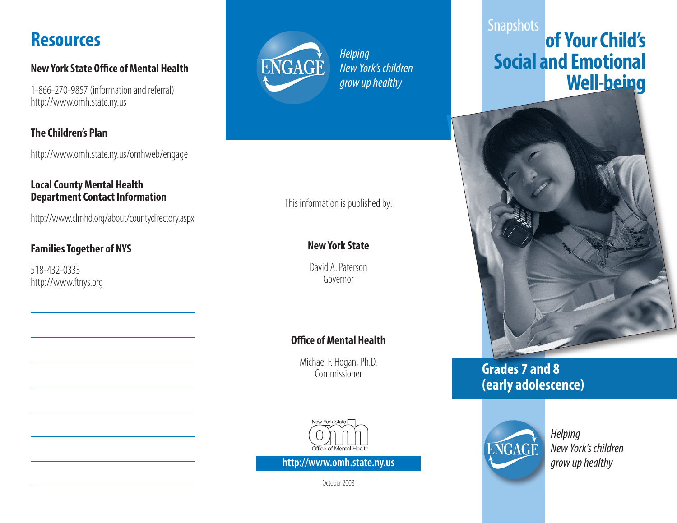## **Resources**

#### **New York State Office of Mental Health**

1-866-270-9857 (information and referral) http://www.omh.state.ny.us

### **The Children's Plan**

http://www.omh.state.ny.us/omhweb/engage

#### **Local County Mental Health Department Contact Information**

http://www.clmhd.org/about/countydirectory.aspx

### **Families Together of NYS**

518-432-0333 http://www.ftnys.org



*Helping New York's children grow up healthy* 

### This information is published by:

### **New York State**

David A. Paterson Governor

### **Office of Mental Health**

Michael F. Hogan, Ph.D. Commissioner



**http://www.omh.state.ny.us grow up healthy grow up healthy** 

October 2008

## **Snapshots of Your Child's Social and Emotional Well-being**



## **Grades 7 and 8 (early adolescence)**



*Helping New York's children*